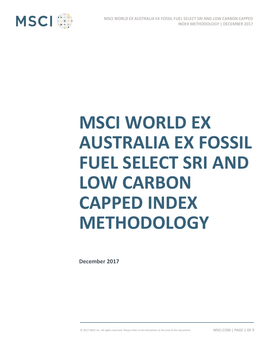

# **MSCI WORLD EX AUSTRALIA EX FOSSIL FUEL SELECT SRI AND LOW CARBON CAPPED INDEX METHODOLOGY**

**December 2017**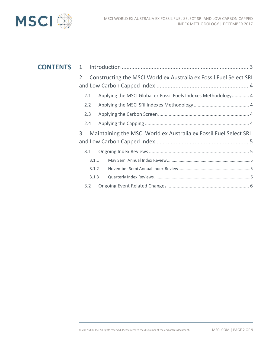

| <b>CONTENTS</b> | $\mathbf{1}$                                                           |                                                                    |  |  |
|-----------------|------------------------------------------------------------------------|--------------------------------------------------------------------|--|--|
|                 | $\overline{2}$                                                         | Constructing the MSCI World ex Australia ex Fossil Fuel Select SRI |  |  |
|                 |                                                                        |                                                                    |  |  |
|                 | 2.1                                                                    | Applying the MSCI Global ex Fossil Fuels Indexes Methodology 4     |  |  |
|                 | $2.2^{\circ}$                                                          |                                                                    |  |  |
|                 | 2.3                                                                    |                                                                    |  |  |
|                 | 2.4                                                                    |                                                                    |  |  |
|                 | 3<br>Maintaining the MSCI World ex Australia ex Fossil Fuel Select SRI |                                                                    |  |  |
|                 |                                                                        |                                                                    |  |  |
|                 | 3.1                                                                    |                                                                    |  |  |
|                 | 3.1.1                                                                  |                                                                    |  |  |
| 3.1.2           |                                                                        |                                                                    |  |  |
|                 | 3.1.3                                                                  |                                                                    |  |  |
|                 | 3.2                                                                    |                                                                    |  |  |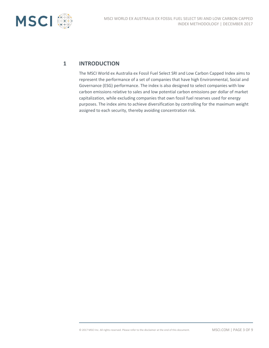

### **1 INTRODUCTION**

The MSCI World ex Australia ex Fossil Fuel Select SRI and Low Carbon Capped Index aims to represent the performance of a set of companies that have high Environmental, Social and Governance (ESG) performance. The index is also designed to select companies with low carbon emissions relative to sales and low potential carbon emissions per dollar of market capitalization, while excluding companies that own fossil fuel reserves used for energy purposes. The index aims to achieve diversification by controlling for the maximum weight assigned to each security, thereby avoiding concentration risk.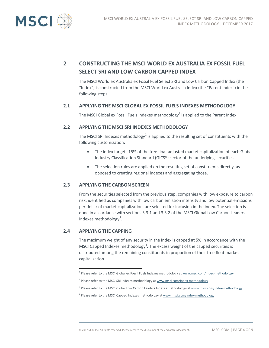

## **2 CONSTRUCTING THE MSCI WORLD EX AUSTRALIA EX FOSSIL FUEL SELECT SRI AND LOW CARBON CAPPED INDEX**

The MSCI World ex Australia ex Fossil Fuel Select SRI and Low Carbon Capped Index (the "Index") is constructed from the MSCI World ex Australia Index (the "Parent Index") in the following steps.

#### **2.1 APPLYING THE MSCI GLOBAL EX FOSSIL FUELS INDEXES METHODOLOGY**

The MSCI Global ex Fossil Fuels Indexes methodology<sup>1</sup> is applied to the Parent Index.

#### **2.2 APPLYING THE MSCI SRI INDEXES METHODOLOGY**

The MSCI SRI Indexes methodology<sup>2</sup> is applied to the resulting set of constituents with the following customization:

- The index targets 15% of the free float adjusted market capitalization of each Global Industry Classification Standard (GICS®) sector of the underlying securities.
- The selection rules are applied on the resulting set of constituents directly, as opposed to creating regional indexes and aggregating those.

#### **2.3 APPLYING THE CARBON SCREEN**

From the securities selected from the previous step, companies with low exposure to carbon risk, identified as companies with low carbon emission intensity and low potential emissions per dollar of market capitalization, are selected for inclusion in the index. The selection is done in accordance with sections 3.3.1 and 3.3.2 of the MSCI Global Low Carbon Leaders Indexes methodology<sup>3</sup>.

#### **2.4 APPLYING THE CAPPING**

The maximum weight of any security in the Index is capped at 5% in accordance with the MSCI Capped Indexes methodology<sup>4</sup>. The excess weight of the capped securities is distributed among the remaining constituents in proportion of their free float market capitalization.

 1 Please refer to the MSCI Global ex Fossil Fuels Indexes methodology a[t www.msci.com/index-methodology](http://www.msci.com/index-methodology)

<sup>&</sup>lt;sup>2</sup> Please refer to the MSCI SRI Indexes methodology a[t www.msci.com/index-methodology](http://www.msci.com/index-methodology)

<sup>&</sup>lt;sup>3</sup> Please refer to the MSCI Global Low Carbon Leaders Indexes methodology a[t www.msci.com/index-methodology](http://www.msci.com/index-methodology)

<sup>&</sup>lt;sup>4</sup> Please refer to the MSCI Capped Indexes methodology a[t www.msci.com/index-methodology](http://www.msci.com/index-methodology)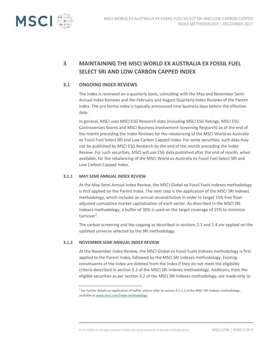

# **3 MAINTAINING THE MSCI WORLD EX AUSTRALIA EX FOSSIL FUEL SELECT SRI AND LOW CARBON CAPPED INDEX**

#### **3.1 ONGOING INDEX REVIEWS**

The Index is reviewed on a quarterly basis, coinciding with the May and November Semi-Annual Index Reviews and the February and August Quarterly Index Reviews of the Parent Index. The pro forma index is typically announced nine business days before the effective date.

In general, MSCI uses MSCI ESG Research data (including MSCI ESG Ratings, MSCI ESG Controversies Scores and MSCI Business Involvement Screening Research) as of the end of the month preceding the Index Reviews for the rebalancing of the MSCI World ex Australia ex Fossil Fuel Select SRI and Low Carbon Capped Index. For some securities, such data may not be published by MSCI ESG Research by the end of the month preceding the Index Review. For such securities, MSCI will use ESG data published after the end of month, when available, for the rebalancing of the MSCI World ex Australia ex Fossil Fuel Select SRI and Low Carbon Capped Index.

#### **3.1.1 MAY SEMI ANNUAL INDEX REVIEW**

At the May Semi-Annual Index Review, the MSCI Global ex Fossil Fuels Indexes methodology is first applied on the Parent Index. The next step is the application of the MSCI SRI Indexes methodology, which includes an annual reconstitution in order to target 15% free floatadjusted cumulative market capitalization of each sector. As described in the MSCI SRI Indexes methodology, a buffer of 30% is used on the target coverage of 15% to minimize turnover<sup>5</sup>.

The carbon screening and the capping as described in sections 2.3 and 2.4 are applied on the updated universe selected by the SRI methodology.

#### **3.1.2 NOVEMBER SEMI ANNUAL INDEX REVIEW**

 $\overline{a}$ 

At the November Index Review, the MSCI Global ex Fossil Fuels Indexes methodology is first applied to the Parent Index, followed by the MSCI SRI Indexes methodology. Existing constituents of the Index are deleted from the Index if they do not meet the eligibility criteria described in section 3.2 of the MSCI SRI Indexes methodology. Additions, from the eligible securities as per section 3.2 of the MSCI SRI Indexes methodology, are made only to

<sup>&</sup>lt;sup>5</sup> For further details on application of buffer, please refer to section 4.1.1.2 of the MSCI SRI Indexes methodology, available a[t www.msci.com/index-methodology](http://www.msci.com/index-methodology)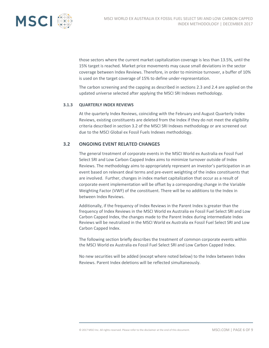

those sectors where the current market capitalization coverage is less than 13.5%, until the 15% target is reached. Market price movements may cause small deviations in the sector coverage between Index Reviews. Therefore, in order to minimize turnover, a buffer of 10% is used on the target coverage of 15% to define under-representation.

The carbon screening and the capping as described in sections 2.3 and 2.4 are applied on the updated universe selected after applying the MSCI SRI Indexes methodology.

#### **3.1.3 QUARTERLY INDEX REVIEWS**

At the quarterly Index Reviews, coinciding with the February and August Quarterly Index Reviews, existing constituents are deleted from the Index if they do not meet the eligibility criteria described in section 3.2 of the MSCI SRI Indexes methodology or are screened out due to the MSCI Global ex Fossil Fuels Indexes methodology.

#### **3.2 ONGOING EVENT RELATED CHANGES**

The general treatment of corporate events in the MSCI World ex Australia ex Fossil Fuel Select SRI and Low Carbon Capped Index aims to minimize turnover outside of Index Reviews. The methodology aims to appropriately represent an investor's participation in an event based on relevant deal terms and pre-event weighting of the index constituents that are involved. Further, changes in index market capitalization that occur as a result of corporate event implementation will be offset by a corresponding change in the Variable Weighting Factor (VWF) of the constituent. There will be no additions to the Index in between Index Reviews.

Additionally, if the frequency of Index Reviews in the Parent Index is greater than the frequency of Index Reviews in the MSCI World ex Australia ex Fossil Fuel Select SRI and Low Carbon Capped Index, the changes made to the Parent Index during intermediate Index Reviews will be neutralized in the MSCI World ex Australia ex Fossil Fuel Select SRI and Low Carbon Capped Index.

The following section briefly describes the treatment of common corporate events within the MSCI World ex Australia ex Fossil Fuel Select SRI and Low Carbon Capped Index.

No new securities will be added (except where noted below) to the Index between Index Reviews. Parent Index deletions will be reflected simultaneously.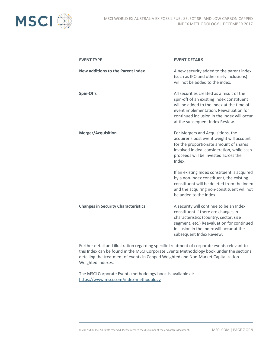

| <b>EVENT TYPE</b>                          | <b>EVENT DETAILS</b>                                                                                                                                                                                                                                            |
|--------------------------------------------|-----------------------------------------------------------------------------------------------------------------------------------------------------------------------------------------------------------------------------------------------------------------|
| <b>New additions to the Parent Index</b>   | A new security added to the parent index<br>(such as IPO and other early inclusions)<br>will not be added to the index.                                                                                                                                         |
| <b>Spin-Offs</b>                           | All securities created as a result of the<br>spin-off of an existing Index constituent<br>will be added to the Index at the time of<br>event implementation. Reevaluation for<br>continued inclusion in the Index will occur<br>at the subsequent Index Review. |
| <b>Merger/Acquisition</b>                  | For Mergers and Acquisitions, the<br>acquirer's post event weight will account<br>for the proportionate amount of shares<br>involved in deal consideration, while cash<br>proceeds will be invested across the<br>Index.                                        |
|                                            | If an existing Index constituent is acquired<br>by a non-Index constituent, the existing<br>constituent will be deleted from the Index<br>and the acquiring non-constituent will not<br>be added to the Index.                                                  |
| <b>Changes in Security Characteristics</b> | A security will continue to be an Index<br>constituent if there are changes in<br>characteristics (country, sector, size<br>segment, etc.) Reevaluation for continued<br>inclusion in the Index will occur at the<br>subsequent Index Review.                   |

Further detail and illustration regarding specific treatment of corporate events relevant to this Index can be found in the MSCI Corporate Events Methodology book under the sections detailing the treatment of events in Capped Weighted and Non-Market Capitalization Weighted indexes.

The MSCI Corporate Events methodology book is available at: <https://www.msci.com/index-methodology>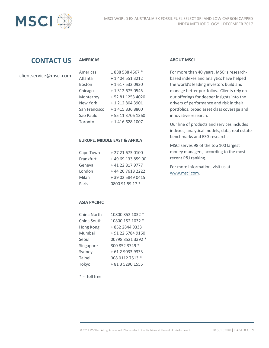

## **CONTACT US**

#### **AMERICAS**

| Americas      | 18885884567 *     |
|---------------|-------------------|
| Atlanta       | + 1 404 551 3212  |
| <b>Boston</b> | + 1 617 532 0920  |
| Chicago       | + 1 312 675 0545  |
| Monterrey     | + 52 81 1253 4020 |
| New York      | + 1 212 804 3901  |
| San Francisco | + 1 415 836 8800  |
| Sao Paulo     | + 55 11 3706 1360 |
| Toronto       | + 1 416 628 1007  |

#### **EUROPE, MIDDLE EAST & AFRICA**

| Cape Town | + 27 21 673 0100  |
|-----------|-------------------|
| Frankfurt | +49 69 133 859 00 |
| Geneva    | +41 22 817 9777   |
| London    | +44 20 7618 2222  |
| Milan     | +39 02 5849 0415  |
| Paris     | 0800 91 59 17 *   |

#### **ABOUT MSCI**

For more than 40 years, MSCI's researchbased indexes and analytics have helped the world's leading investors build and manage better portfolios. Clients rely on our offerings for deeper insights into the drivers of performance and risk in their portfolios, broad asset class coverage and innovative research.

Our line of products and services includes indexes, analytical models, data, real estate benchmarks and ESG research.

MSCI serves 98 of the top 100 largest money managers, according to the most recent P&I ranking.

For more information, visit us at [www.msci.com.](http://www.msci.com/)

#### **ASIA PACIFIC**

| China North | 10800 852 1032 *  |
|-------------|-------------------|
| China South | 10800 152 1032 *  |
| Hong Kong   | + 852 2844 9333   |
| Mumbai      | + 91 22 6784 9160 |
| Seoul       | 00798 8521 3392 * |
| Singapore   | 800 852 3749 *    |
| Sydney      | + 61 2 9033 9333  |
| Taipei      | 008 0112 7513 *   |
| Tokyo       | + 81 3 5290 1555  |

 $* =$  toll free